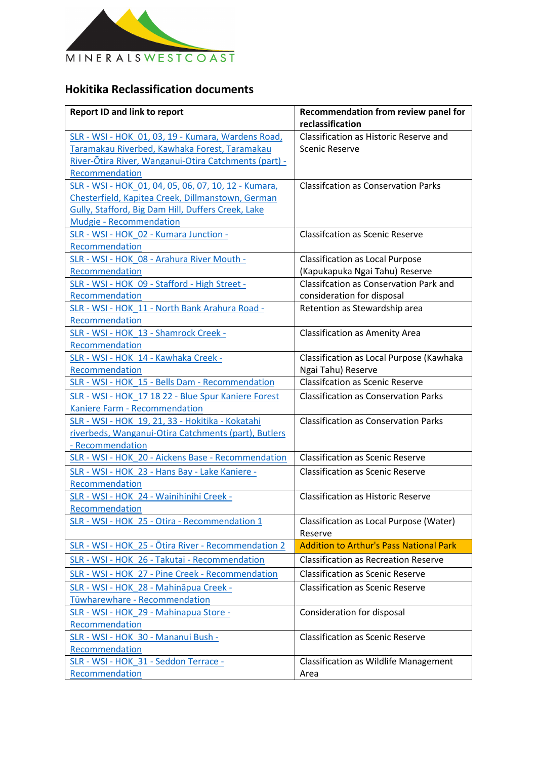

## **Hokitika Reclassification documents**

| <b>Report ID and link to report</b>                   | Recommendation from review panel for               |
|-------------------------------------------------------|----------------------------------------------------|
|                                                       | reclassification                                   |
| SLR - WSI - HOK 01, 03, 19 - Kumara, Wardens Road,    | Classification as Historic Reserve and             |
| Taramakau Riverbed, Kawhaka Forest, Taramakau         | <b>Scenic Reserve</b>                              |
| River-Ōtira River, Wanganui-Otira Catchments (part) - |                                                    |
| Recommendation                                        |                                                    |
| SLR - WSI - HOK 01, 04, 05, 06, 07, 10, 12 - Kumara,  | <b>Classifcation as Conservation Parks</b>         |
| Chesterfield, Kapitea Creek, Dillmanstown, German     |                                                    |
| Gully, Stafford, Big Dam Hill, Duffers Creek, Lake    |                                                    |
| <b>Mudgie - Recommendation</b>                        |                                                    |
| SLR - WSI - HOK 02 - Kumara Junction -                | <b>Classifcation as Scenic Reserve</b>             |
| Recommendation                                        |                                                    |
| SLR - WSI - HOK 08 - Arahura River Mouth -            | <b>Classification as Local Purpose</b>             |
| Recommendation                                        | (Kapukapuka Ngai Tahu) Reserve                     |
| SLR - WSI - HOK 09 - Stafford - High Street -         | <b>Classifcation as Conservation Park and</b>      |
| Recommendation                                        | consideration for disposal                         |
| SLR - WSI - HOK 11 - North Bank Arahura Road -        | Retention as Stewardship area                      |
| Recommendation                                        |                                                    |
| SLR - WSI - HOK 13 - Shamrock Creek -                 | <b>Classification as Amenity Area</b>              |
| Recommendation                                        |                                                    |
| SLR - WSI - HOK 14 - Kawhaka Creek -                  | Classification as Local Purpose (Kawhaka           |
| Recommendation                                        | Ngai Tahu) Reserve                                 |
| SLR - WSI - HOK 15 - Bells Dam - Recommendation       | <b>Classifcation as Scenic Reserve</b>             |
| SLR - WSI - HOK 17 18 22 - Blue Spur Kaniere Forest   | <b>Classification as Conservation Parks</b>        |
| Kaniere Farm - Recommendation                         |                                                    |
| SLR - WSI - HOK 19, 21, 33 - Hokitika - Kokatahi      | <b>Classification as Conservation Parks</b>        |
| riverbeds, Wanganui-Otira Catchments (part), Butlers  |                                                    |
| - Recommendation                                      |                                                    |
| SLR - WSI - HOK 20 - Aickens Base - Recommendation    | <b>Classification as Scenic Reserve</b>            |
| SLR - WSI - HOK 23 - Hans Bay - Lake Kaniere -        | <b>Classification as Scenic Reserve</b>            |
| Recommendation                                        |                                                    |
| SLR - WSI - HOK 24 - Wainihinihi Creek -              | <b>Classification as Historic Reserve</b>          |
| Recommendation                                        |                                                    |
|                                                       |                                                    |
| SLR - WSI - HOK 25 - Otira - Recommendation 1         | Classification as Local Purpose (Water)<br>Reserve |
| SLR - WSI - HOK 25 - Otira River - Recommendation 2   | <b>Addition to Arthur's Pass National Park</b>     |
|                                                       | <b>Classification as Recreation Reserve</b>        |
| SLR - WSI - HOK 26 - Takutai - Recommendation         |                                                    |
| SLR - WSI - HOK 27 - Pine Creek - Recommendation      | <b>Classification as Scenic Reserve</b>            |
| SLR - WSI - HOK 28 - Mahināpua Creek -                | <b>Classification as Scenic Reserve</b>            |
| Tūwharewhare - Recommendation                         |                                                    |
| SLR - WSI - HOK 29 - Mahinapua Store -                | Consideration for disposal                         |
| Recommendation                                        |                                                    |
| SLR - WSI - HOK 30 - Mananui Bush -                   | <b>Classification as Scenic Reserve</b>            |
| Recommendation                                        |                                                    |
| SLR - WSI - HOK 31 - Seddon Terrace -                 | <b>Classification as Wildlife Management</b>       |
| Recommendation                                        | Area                                               |